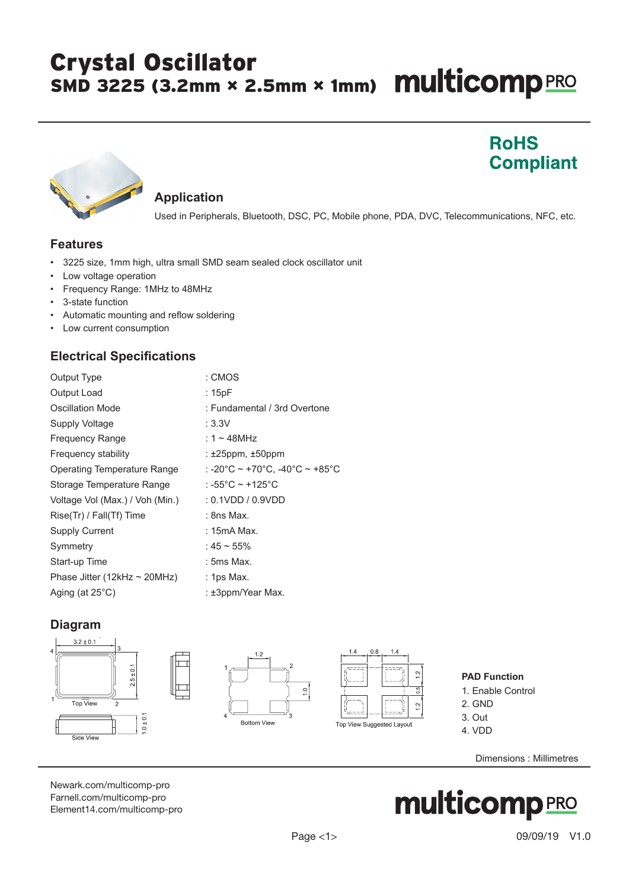# Crystal Oscillator SMD 3225 (3.2mm × 2.5mm × 1mm) **Multicomp** PRO

## **RoHS Compliant**



#### **Application**

Used in Peripherals, Bluetooth, DSC, PC, Mobile phone, PDA, DVC, Telecommunications, NFC, etc.

#### **Features**

- 3225 size, 1mm high, ultra small SMD seam sealed clock oscillator unit
- Low voltage operation
- Frequency Range: 1MHz to 48MHz
- 3-state function
- Automatic mounting and reflow soldering
- Low current consumption

#### **Electrical Specifications**

| <b>Output Type</b>                | : CMOS                         |
|-----------------------------------|--------------------------------|
| Output Load                       | : 15pF                         |
| Oscillation Mode                  | : Fundamental / 3rd Overtone   |
| Supply Voltage                    | : 3.3V                         |
| <b>Frequency Range</b>            | : 1 ~ 48MHz                    |
| Frequency stability               | : $\pm 25$ ppm, $\pm 50$ ppm   |
| Operating Temperature Range       | : -20°C ~ +70°C. -40°C ~ +85°C |
| Storage Temperature Range         | : -55°C ~ +125°C               |
| Voltage Vol (Max.) / Voh (Min.)   | $: 0.1$ VDD / $0.9$ VDD        |
| Rise(Tr) / Fall(Tf) Time          | $:$ 8ns Max.                   |
| <b>Supply Current</b>             | : 15mA Max.                    |
| Symmetry                          | : 45 ~ 55%                     |
| Start-up Time                     | : 5ms Max.                     |
| Phase Jitter (12kHz $\sim$ 20MHz) | $:$ 1ps Max.                   |
| Aging (at $25^{\circ}$ C)         | : ±3ppm/Year Max.              |

### **Diagram**







#### **PAD Function**

- 1. Enable Control
- 2. GND
- 3. Out 4. VDD
	-

Dimensions : Millimetres

[Newark.com/multicomp-](https://www.newark.com/multicomp-pro)pro [Farnell.com/multicomp](https://www.farnell.com/multicomp-pro)-pro [Element14.com/multicomp-pro](https://element14.com/multicomp-pro)

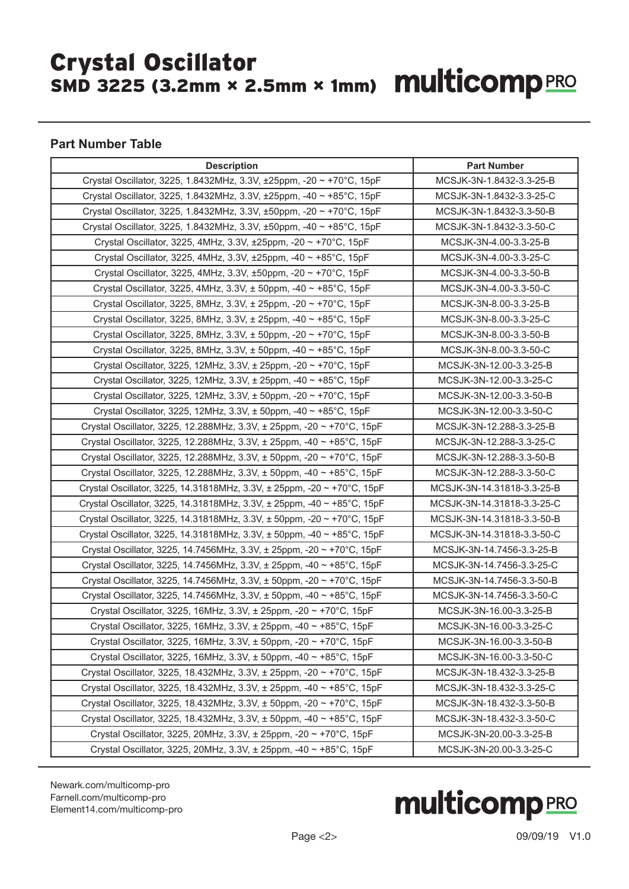# Crystal Oscillator SMD 3225 (3.2mm × 2.5mm × 1mm)

#### **Part Number Table**

| <b>Description</b>                                                               | <b>Part Number</b>         |
|----------------------------------------------------------------------------------|----------------------------|
| Crystal Oscillator, 3225, 1.8432MHz, 3.3V, ±25ppm, -20 ~ +70°C, 15pF             | MCSJK-3N-1.8432-3.3-25-B   |
| Crystal Oscillator, 3225, 1.8432MHz, 3.3V, ±25ppm, -40 ~ +85°C, 15pF             | MCSJK-3N-1.8432-3.3-25-C   |
| Crystal Oscillator, 3225, 1.8432MHz, 3.3V, ±50ppm, -20 ~ +70°C, 15pF             | MCSJK-3N-1.8432-3.3-50-B   |
| Crystal Oscillator, 3225, 1.8432MHz, 3.3V, ±50ppm, -40 ~ +85°C, 15pF             | MCSJK-3N-1.8432-3.3-50-C   |
| Crystal Oscillator, 3225, 4MHz, 3.3V, ±25ppm, -20 ~ +70°C, 15pF                  | MCSJK-3N-4.00-3.3-25-B     |
| Crystal Oscillator, 3225, 4MHz, 3.3V, ±25ppm, -40 ~ +85°C, 15pF                  | MCSJK-3N-4.00-3.3-25-C     |
| Crystal Oscillator, 3225, 4MHz, 3.3V, ±50ppm, -20 ~ +70°C, 15pF                  | MCSJK-3N-4.00-3.3-50-B     |
| Crystal Oscillator, 3225, 4MHz, 3.3V, ± 50ppm, -40 ~ +85°C, 15pF                 | MCSJK-3N-4.00-3.3-50-C     |
| Crystal Oscillator, 3225, 8MHz, 3.3V, ± 25ppm, -20 ~ +70°C, 15pF                 | MCSJK-3N-8.00-3.3-25-B     |
| Crystal Oscillator, 3225, 8MHz, 3.3V, ± 25ppm, -40 ~ +85°C, 15pF                 | MCSJK-3N-8.00-3.3-25-C     |
| Crystal Oscillator, 3225, 8MHz, 3.3V, ± 50ppm, -20 ~ +70°C, 15pF                 | MCSJK-3N-8.00-3.3-50-B     |
| Crystal Oscillator, 3225, 8MHz, 3.3V, ± 50ppm, -40 ~ +85°C, 15pF                 | MCSJK-3N-8.00-3.3-50-C     |
| Crystal Oscillator, 3225, 12MHz, 3.3V, ± 25ppm, -20 ~ +70°C, 15pF                | MCSJK-3N-12.00-3.3-25-B    |
| Crystal Oscillator, 3225, 12MHz, 3.3V, ± 25ppm, -40 ~ +85°C, 15pF                | MCSJK-3N-12.00-3.3-25-C    |
| Crystal Oscillator, 3225, 12MHz, 3.3V, ± 50ppm, -20 ~ +70°C, 15pF                | MCSJK-3N-12.00-3.3-50-B    |
| Crystal Oscillator, 3225, 12MHz, 3.3V, ± 50ppm, -40 ~ +85°C, 15pF                | MCSJK-3N-12.00-3.3-50-C    |
| Crystal Oscillator, 3225, 12.288MHz, 3.3V, ± 25ppm, -20 ~ +70°C, 15pF            | MCSJK-3N-12.288-3.3-25-B   |
| Crystal Oscillator, 3225, 12.288MHz, 3.3V, ± 25ppm, -40 ~ +85°C, 15pF            | MCSJK-3N-12.288-3.3-25-C   |
| Crystal Oscillator, 3225, 12.288MHz, 3.3V, ± 50ppm, -20 ~ +70°C, 15pF            | MCSJK-3N-12.288-3.3-50-B   |
| Crystal Oscillator, 3225, 12.288MHz, 3.3V, ± 50ppm, -40 ~ +85°C, 15pF            | MCSJK-3N-12.288-3.3-50-C   |
| Crystal Oscillator, 3225, 14.31818MHz, 3.3V, ± 25ppm, -20 ~ +70°C, 15pF          | MCSJK-3N-14.31818-3.3-25-B |
| Crystal Oscillator, 3225, 14.31818MHz, 3.3V, ± 25ppm, -40 ~ +85°C, 15pF          | MCSJK-3N-14.31818-3.3-25-C |
| Crystal Oscillator, 3225, 14.31818MHz, 3.3V, $\pm$ 50ppm, -20 $\sim$ +70°C, 15pF | MCSJK-3N-14.31818-3.3-50-B |
| Crystal Oscillator, 3225, 14.31818MHz, 3.3V, ± 50ppm, -40 ~ +85°C, 15pF          | MCSJK-3N-14.31818-3.3-50-C |
| Crystal Oscillator, 3225, 14.7456MHz, 3.3V, ± 25ppm, -20 ~ +70°C, 15pF           | MCSJK-3N-14.7456-3.3-25-B  |
| Crystal Oscillator, 3225, 14.7456MHz, 3.3V, ± 25ppm, -40 ~ +85°C, 15pF           | MCSJK-3N-14.7456-3.3-25-C  |
| Crystal Oscillator, 3225, 14.7456MHz, 3.3V, ± 50ppm, -20 ~ +70°C, 15pF           | MCSJK-3N-14.7456-3.3-50-B  |
| Crystal Oscillator, 3225, 14.7456MHz, 3.3V, ± 50ppm, -40 ~ +85°C, 15pF           | MCSJK-3N-14.7456-3.3-50-C  |
| Crystal Oscillator, 3225, 16MHz, 3.3V, ± 25ppm, -20 ~ +70°C, 15pF                | MCSJK-3N-16.00-3.3-25-B    |
| Crystal Oscillator, 3225, 16MHz, 3.3V, ± 25ppm, -40 ~ +85°C, 15pF                | MCSJK-3N-16.00-3.3-25-C    |
| Crystal Oscillator, 3225, 16MHz, 3.3V, ± 50ppm, -20 ~ +70°C, 15pF                | MCSJK-3N-16.00-3.3-50-B    |
| Crystal Oscillator, 3225, 16MHz, 3.3V, ± 50ppm, -40 ~ +85°C, 15pF                | MCSJK-3N-16.00-3.3-50-C    |
| Crystal Oscillator, 3225, 18.432MHz, 3.3V, ± 25ppm, -20 ~ +70°C, 15pF            | MCSJK-3N-18.432-3.3-25-B   |
| Crystal Oscillator, 3225, 18.432MHz, 3.3V, ± 25ppm, -40 ~ +85°C, 15pF            | MCSJK-3N-18.432-3.3-25-C   |
| Crystal Oscillator, 3225, 18.432MHz, 3.3V, ± 50ppm, -20 ~ +70°C, 15pF            | MCSJK-3N-18.432-3.3-50-B   |
| Crystal Oscillator, 3225, 18.432MHz, 3.3V, ± 50ppm, -40 ~ +85°C, 15pF            | MCSJK-3N-18.432-3.3-50-C   |
| Crystal Oscillator, 3225, 20MHz, 3.3V, ± 25ppm, -20 ~ +70°C, 15pF                | MCSJK-3N-20.00-3.3-25-B    |
| Crystal Oscillator, 3225, 20MHz, 3.3V, ± 25ppm, -40 ~ +85°C, 15pF                | MCSJK-3N-20.00-3.3-25-C    |

[Newark.com/multicomp-](https://www.newark.com/multicomp-pro)pro [Farnell.com/multicomp](https://www.farnell.com/multicomp-pro)-pro [Element14.com/multicomp-pro](https://element14.com/multicomp-pro)